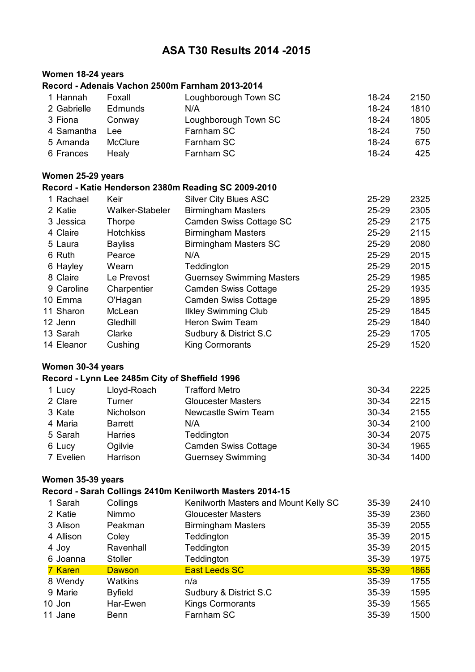### **ASA T30 Results 2014 -2015**

### **Women 18-24 years**

#### **Record - Adenais Vachon 2500m Farnham 2013-2014**

| 1 Hannah    | Foxall         | Loughborough Town SC | 18-24   | 2150 |
|-------------|----------------|----------------------|---------|------|
| 2 Gabrielle | <b>Edmunds</b> | N/A                  | 18-24   | 1810 |
| 3 Fiona     | Conway         | Loughborough Town SC | 18-24   | 1805 |
| 4 Samantha  | <b>Lee</b>     | Farnham SC           | $18-24$ | 750  |
| 5 Amanda    | <b>McClure</b> | Farnham SC           | 18-24   | 675  |
| 6 Frances   | Healv          | Farnham SC           | 18-24   | 425  |

#### **Women 25-29 years**

# **Record - Katie Henderson 2380m Reading SC 2009-2010**

| 1 Rachael  | Keir             | <b>Silver City Blues ASC</b>     | 25-29     | 2325 |
|------------|------------------|----------------------------------|-----------|------|
| 2 Katie    | Walker-Stabeler  | <b>Birmingham Masters</b>        | $25 - 29$ | 2305 |
| 3 Jessica  | Thorpe           | Camden Swiss Cottage SC          | $25 - 29$ | 2175 |
| 4 Claire   | <b>Hotchkiss</b> | <b>Birmingham Masters</b>        | 25-29     | 2115 |
| 5 Laura    | <b>Bayliss</b>   | <b>Birmingham Masters SC</b>     | 25-29     | 2080 |
| 6 Ruth     | Pearce           | N/A                              | 25-29     | 2015 |
| 6 Hayley   | Wearn            | Teddington                       | $25 - 29$ | 2015 |
| 8 Claire   | Le Prevost       | <b>Guernsey Swimming Masters</b> | $25 - 29$ | 1985 |
| 9 Caroline | Charpentier      | <b>Camden Swiss Cottage</b>      | $25 - 29$ | 1935 |
| 10 Emma    | O'Hagan          | <b>Camden Swiss Cottage</b>      | 25-29     | 1895 |
| 11 Sharon  | McLean           | <b>Ilkley Swimming Club</b>      | $25 - 29$ | 1845 |
| 12 Jenn    | Gledhill         | Heron Swim Team                  | $25 - 29$ | 1840 |
| 13 Sarah   | Clarke           | Sudbury & District S.C.          | 25-29     | 1705 |
| 14 Eleanor | Cushing          | <b>King Cormorants</b>           | 25-29     | 1520 |
|            |                  |                                  |           |      |

### **Women 30-34 years**

#### **Record - Lynn Lee 2485m City of Sheffield 1996**

| 1 Lucy    | Lloyd-Roach    | <b>Trafford Metro</b>       | 30-34 | 2225 |
|-----------|----------------|-----------------------------|-------|------|
| 2 Clare   | Turner         | <b>Gloucester Masters</b>   | 30-34 | 2215 |
| 3 Kate    | Nicholson      | Newcastle Swim Team         | 30-34 | 2155 |
| 4 Maria   | <b>Barrett</b> | N/A                         | 30-34 | 2100 |
| 5 Sarah   | <b>Harries</b> | Teddington                  | 30-34 | 2075 |
| 6 Lucy    | Ogilvie        | <b>Camden Swiss Cottage</b> | 30-34 | 1965 |
| 7 Evelien | Harrison       | <b>Guernsey Swimming</b>    | 30-34 | 1400 |

### **Women 35-39 years**

### **Record - Sarah Collings 2410m Kenilworth Masters 2014-15**

| 1 Sarah   | Collings       | Kenilworth Masters and Mount Kelly SC | 35-39 | 2410        |
|-----------|----------------|---------------------------------------|-------|-------------|
| 2 Katie   | Nimmo          | <b>Gloucester Masters</b>             | 35-39 | 2360        |
| 3 Alison  | Peakman        | <b>Birmingham Masters</b>             | 35-39 | 2055        |
| 4 Allison | Coley          | Teddington                            | 35-39 | 2015        |
| 4 Joy     | Ravenhall      | Teddington                            | 35-39 | 2015        |
| 6 Joanna  | <b>Stoller</b> | Teddington                            | 35-39 | 1975        |
| 7 Karen   | <b>Dawson</b>  | <b>East Leeds SC</b>                  | 35-39 | <b>1865</b> |
| 8 Wendy   | Watkins        | n/a                                   | 35-39 | 1755        |
| 9 Marie   | <b>Byfield</b> | Sudbury & District S.C                | 35-39 | 1595        |
| 10 Jon    | Har-Ewen       | <b>Kings Cormorants</b>               | 35-39 | 1565        |
| 11 Jane   | Benn           | Farnham SC                            | 35-39 | 1500        |
|           |                |                                       |       |             |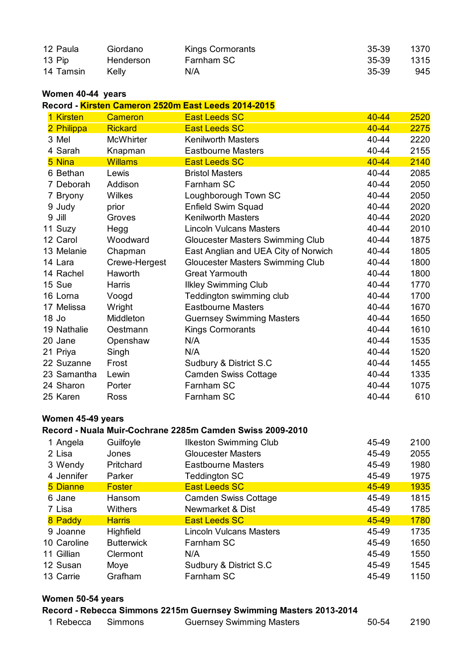| 12 Paula  | Giordano  | Kings Cormorants | 35-39 | 1370 |
|-----------|-----------|------------------|-------|------|
| 13 Pip    | Henderson | Farnham SC       | 35-39 | 1315 |
| 14 Tamsin | Kelly     | N/A              | 35-39 | 945  |

### **Women 40-44 years**

**Record - Kirsten Cameron 2520m East Leeds 2014-2015**

| <b>Kirsten</b> | <b>Cameron</b>   | <b>East Leeds SC</b>                 | 40-44 | 2520 |
|----------------|------------------|--------------------------------------|-------|------|
| 2 Philippa     | <b>Rickard</b>   | <b>East Leeds SC</b>                 | 40-44 | 2275 |
| 3 Mel          | <b>McWhirter</b> | <b>Kenilworth Masters</b>            | 40-44 | 2220 |
| 4 Sarah        | Knapman          | <b>Eastbourne Masters</b>            | 40-44 | 2155 |
| 5 Nina         | <b>Willams</b>   | <b>East Leeds SC</b>                 | 40-44 | 2140 |
| 6 Bethan       | Lewis            | <b>Bristol Masters</b>               | 40-44 | 2085 |
| 7 Deborah      | Addison          | Farnham SC                           | 40-44 | 2050 |
| 7 Bryony       | Wilkes           | Loughborough Town SC                 | 40-44 | 2050 |
| 9 Judy         | prior            | Enfield Swim Squad                   | 40-44 | 2020 |
| 9 Jill         | Groves           | <b>Kenilworth Masters</b>            | 40-44 | 2020 |
| 11 Suzy        | Hegg             | <b>Lincoln Vulcans Masters</b>       | 40-44 | 2010 |
| 12 Carol       | Woodward         | Gloucester Masters Swimming Club     | 40-44 | 1875 |
| 13 Melanie     | Chapman          | East Anglian and UEA City of Norwich | 40-44 | 1805 |
| 14 Lara        | Crewe-Hergest    | Gloucester Masters Swimming Club     | 40-44 | 1800 |
| 14 Rachel      | Haworth          | <b>Great Yarmouth</b>                | 40-44 | 1800 |
| 15 Sue         | Harris           | <b>Ilkley Swimming Club</b>          | 40-44 | 1770 |
| 16 Lorna       | Voogd            | Teddington swimming club             | 40-44 | 1700 |
| 17 Melissa     | Wright           | <b>Eastbourne Masters</b>            | 40-44 | 1670 |
| 18 Jo          | Middleton        | <b>Guernsey Swimming Masters</b>     | 40-44 | 1650 |
| 19 Nathalie    | Oestmann         | <b>Kings Cormorants</b>              | 40-44 | 1610 |
| 20 Jane        | Openshaw         | N/A                                  | 40-44 | 1535 |
| 21 Priya       | Singh            | N/A                                  | 40-44 | 1520 |
| 22 Suzanne     | Frost            | Sudbury & District S.C               | 40-44 | 1455 |
| 23 Samantha    | Lewin            | <b>Camden Swiss Cottage</b>          | 40-44 | 1335 |
| 24 Sharon      | Porter           | Farnham SC                           | 40-44 | 1075 |
| 25 Karen       | Ross             | Farnham SC                           | 40-44 | 610  |

#### **Women 45-49 years**

### **Record - Nuala Muir-Cochrane 2285m Camden Swiss 2009-2010**

| 1 Angela    | Guilfoyle         | <b>Ilkeston Swimming Club</b>  | 45-49 | 2100 |
|-------------|-------------------|--------------------------------|-------|------|
| 2 Lisa      | Jones             | <b>Gloucester Masters</b>      | 45-49 | 2055 |
| 3 Wendy     | Pritchard         | <b>Eastbourne Masters</b>      | 45-49 | 1980 |
| 4 Jennifer  | Parker            | <b>Teddington SC</b>           | 45-49 | 1975 |
| 5 Dianne    | <b>Foster</b>     | <b>East Leeds SC</b>           | 45-49 | 1935 |
| 6 Jane      | Hansom            | <b>Camden Swiss Cottage</b>    | 45-49 | 1815 |
| 7 Lisa      | <b>Withers</b>    | Newmarket & Dist               | 45-49 | 1785 |
| 8 Paddy     | <b>Harris</b>     | <b>East Leeds SC</b>           | 45-49 | 1780 |
| 9 Joanne    | Highfield         | <b>Lincoln Vulcans Masters</b> | 45-49 | 1735 |
| 10 Caroline | <b>Butterwick</b> | Farnham SC                     | 45-49 | 1650 |
| 11 Gillian  | Clermont          | N/A                            | 45-49 | 1550 |
| 12 Susan    | Moye              | Sudbury & District S.C         | 45-49 | 1545 |
| 13 Carrie   | Grafham           | Farnham SC                     | 45-49 | 1150 |

#### **Women 50-54 years**

**Record - Rebecca Simmons 2215m Guernsey Swimming Masters 2013-2014**

| 1 Rebecca Simmons<br><b>Guernsey Swimming Masters</b> | 50-54 | 2190 |
|-------------------------------------------------------|-------|------|
|-------------------------------------------------------|-------|------|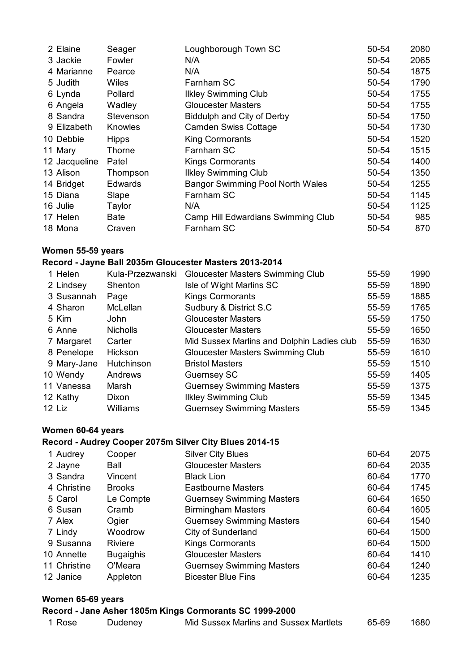| 2 Elaine      | Seager         | Loughborough Town SC                    | 50-54 | 2080 |
|---------------|----------------|-----------------------------------------|-------|------|
| 3 Jackie      | Fowler         | N/A                                     | 50-54 | 2065 |
| 4 Marianne    | Pearce         | N/A                                     | 50-54 | 1875 |
| 5 Judith      | <b>Wiles</b>   | Farnham SC                              | 50-54 | 1790 |
| 6 Lynda       | Pollard        | <b>Ilkley Swimming Club</b>             | 50-54 | 1755 |
| 6 Angela      | Wadley         | <b>Gloucester Masters</b>               | 50-54 | 1755 |
| 8 Sandra      | Stevenson      | Biddulph and City of Derby              | 50-54 | 1750 |
| 9 Elizabeth   | Knowles        | <b>Camden Swiss Cottage</b>             | 50-54 | 1730 |
| 10 Debbie     | <b>Hipps</b>   | <b>King Cormorants</b>                  | 50-54 | 1520 |
| 11 Mary       | Thorne         | Farnham SC                              | 50-54 | 1515 |
| 12 Jacqueline | Patel          | <b>Kings Cormorants</b>                 | 50-54 | 1400 |
| 13 Alison     | Thompson       | <b>Ilkley Swimming Club</b>             | 50-54 | 1350 |
| 14 Bridget    | <b>Edwards</b> | <b>Bangor Swimming Pool North Wales</b> | 50-54 | 1255 |
| 15 Diana      | Slape          | Farnham SC                              | 50-54 | 1145 |
| 16 Julie      | Taylor         | N/A                                     | 50-54 | 1125 |
| 17 Helen      | Bate           | Camp Hill Edwardians Swimming Club      | 50-54 | 985  |
| 18 Mona       | Craven         | Farnham SC                              | 50-54 | 870  |

### **Women 55-59 years**

# **Record - Jayne Ball 2035m Gloucester Masters 2013-2014**

| 1 Helen     | Kula-Przezwanski | Gloucester Masters Swimming Club           | 55-59 | 1990 |
|-------------|------------------|--------------------------------------------|-------|------|
| 2 Lindsey   | Shenton          | Isle of Wight Marlins SC                   | 55-59 | 1890 |
| 3 Susannah  | Page             | <b>Kings Cormorants</b>                    | 55-59 | 1885 |
| 4 Sharon    | <b>McLellan</b>  | Sudbury & District S.C                     | 55-59 | 1765 |
| 5 Kim       | John             | <b>Gloucester Masters</b>                  | 55-59 | 1750 |
| 6 Anne      | <b>Nicholls</b>  | <b>Gloucester Masters</b>                  | 55-59 | 1650 |
| 7 Margaret  | Carter           | Mid Sussex Marlins and Dolphin Ladies club | 55-59 | 1630 |
| 8 Penelope  | Hickson          | Gloucester Masters Swimming Club           | 55-59 | 1610 |
| 9 Mary-Jane | Hutchinson       | <b>Bristol Masters</b>                     | 55-59 | 1510 |
| 10 Wendy    | Andrews          | <b>Guernsey SC</b>                         | 55-59 | 1405 |
| 11 Vanessa  | Marsh            | <b>Guernsey Swimming Masters</b>           | 55-59 | 1375 |
| 12 Kathy    | Dixon            | <b>Ilkley Swimming Club</b>                | 55-59 | 1345 |
| 12 Liz      | Williams         | <b>Guernsey Swimming Masters</b>           | 55-59 | 1345 |
|             |                  |                                            |       |      |

### **Women 60-64 years**

### **Record - Audrey Cooper 2075m Silver City Blues 2014-15**

| 1 Audrey     | Cooper           | <b>Silver City Blues</b>         | 60-64 | 2075 |
|--------------|------------------|----------------------------------|-------|------|
| 2 Jayne      | Ball             | <b>Gloucester Masters</b>        | 60-64 | 2035 |
| 3 Sandra     | Vincent          | <b>Black Lion</b>                | 60-64 | 1770 |
| 4 Christine  | <b>Brooks</b>    | Eastbourne Masters               | 60-64 | 1745 |
| 5 Carol      | Le Compte        | <b>Guernsey Swimming Masters</b> | 60-64 | 1650 |
| 6 Susan      | Cramb            | <b>Birmingham Masters</b>        | 60-64 | 1605 |
| 7 Alex       | Ogier            | <b>Guernsey Swimming Masters</b> | 60-64 | 1540 |
| 7 Lindy      | Woodrow          | City of Sunderland               | 60-64 | 1500 |
| 9 Susanna    | <b>Riviere</b>   | <b>Kings Cormorants</b>          | 60-64 | 1500 |
| 10 Annette   | <b>Bugaighis</b> | <b>Gloucester Masters</b>        | 60-64 | 1410 |
| 11 Christine | O'Meara          | <b>Guernsey Swimming Masters</b> | 60-64 | 1240 |
| 12 Janice    | Appleton         | <b>Bicester Blue Fins</b>        | 60-64 | 1235 |
|              |                  |                                  |       |      |

### **Women 65-69 years**

#### **Record - Jane Asher 1805m Kings Cormorants SC 1999-2000**

| 1 Rose | Dudeney | Mid Sussex Marlins and Sussex Martlets | 65-69 | 1680 |
|--------|---------|----------------------------------------|-------|------|
|        |         |                                        |       |      |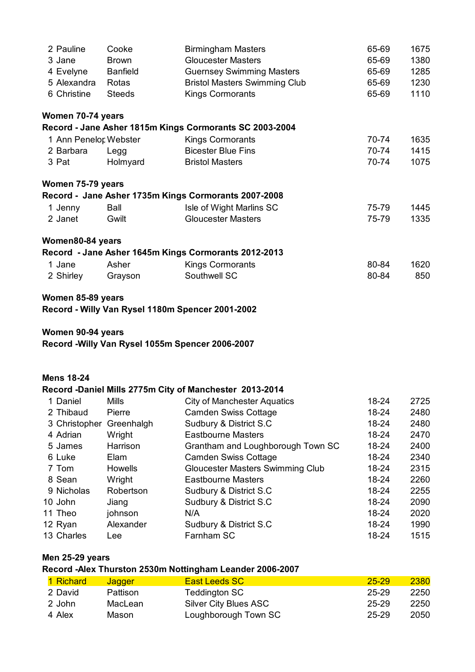| 2 Pauline             | Cooke           | <b>Birmingham Masters</b>                               | 65-69 | 1675 |
|-----------------------|-----------------|---------------------------------------------------------|-------|------|
| 3 Jane                | <b>Brown</b>    | <b>Gloucester Masters</b>                               | 65-69 | 1380 |
| 4 Evelyne             | <b>Banfield</b> | <b>Guernsey Swimming Masters</b>                        | 65-69 | 1285 |
| 5 Alexandra           | Rotas           | <b>Bristol Masters Swimming Club</b>                    | 65-69 | 1230 |
| 6 Christine           | <b>Steeds</b>   | <b>Kings Cormorants</b>                                 | 65-69 | 1110 |
| Women 70-74 years     |                 |                                                         |       |      |
|                       |                 | Record - Jane Asher 1815m Kings Cormorants SC 2003-2004 |       |      |
| 1 Ann Penelor Webster |                 | <b>Kings Cormorants</b>                                 | 70-74 | 1635 |
| 2 Barbara             | Legg            | <b>Bicester Blue Fins</b>                               | 70-74 | 1415 |
| 3 Pat                 | Holmyard        | <b>Bristol Masters</b>                                  | 70-74 | 1075 |
| Women 75-79 years     |                 |                                                         |       |      |
|                       |                 | Record - Jane Asher 1735m Kings Cormorants 2007-2008    |       |      |
| 1 Jenny               | Ball            | Isle of Wight Marlins SC                                | 75-79 | 1445 |
| 2 Janet               | Gwilt           | <b>Gloucester Masters</b>                               | 75-79 | 1335 |
| Women80-84 years      |                 |                                                         |       |      |
|                       |                 | Record - Jane Asher 1645m Kings Cormorants 2012-2013    |       |      |
| 1 Jane                | Asher           | <b>Kings Cormorants</b>                                 | 80-84 | 1620 |
| 2 Shirley             | Grayson         | Southwell SC                                            | 80-84 | 850  |
| Women 85-89 years     |                 |                                                         |       |      |

**Record - Willy Van Rysel 1180m Spencer 2001-2002**

#### **Women 90-94 years**

**Record -Willy Van Rysel 1055m Spencer 2006-2007**

#### **Mens 18-24**

#### **Record -Daniel Mills 2775m City of Manchester 2013-2014**

| 1 Daniel      | <b>Mills</b>   | <b>City of Manchester Aquatics</b> | 18-24 | 2725 |
|---------------|----------------|------------------------------------|-------|------|
| 2 Thibaud     | Pierre         | <b>Camden Swiss Cottage</b>        | 18-24 | 2480 |
| 3 Christopher | Greenhalgh     | Sudbury & District S.C             | 18-24 | 2480 |
| 4 Adrian      | Wright         | <b>Eastbourne Masters</b>          | 18-24 | 2470 |
| 5 James       | Harrison       | Grantham and Loughborough Town SC  | 18-24 | 2400 |
| 6 Luke        | Elam           | <b>Camden Swiss Cottage</b>        | 18-24 | 2340 |
| 7 Tom         | <b>Howells</b> | Gloucester Masters Swimming Club   | 18-24 | 2315 |
| 8 Sean        | Wright         | <b>Eastbourne Masters</b>          | 18-24 | 2260 |
| 9 Nicholas    | Robertson      | Sudbury & District S.C             | 18-24 | 2255 |
| 10 John       | Jiang          | Sudbury & District S.C             | 18-24 | 2090 |
| 11 Theo       | johnson        | N/A                                | 18-24 | 2020 |
| 12 Ryan       | Alexander      | Sudbury & District S.C             | 18-24 | 1990 |
| 13 Charles    | Lee            | Farnham SC                         | 18-24 | 1515 |
|               |                |                                    |       |      |

### **Men 25-29 years**

# **Record -Alex Thurston 2530m Nottingham Leander 2006-2007**

| 1 Richard | <b>Jagger</b> | <b>East Leeds SC</b>  | $25 - 29$ | 2380 |
|-----------|---------------|-----------------------|-----------|------|
| 2 David   | Pattison      | Teddington SC         | 25-29     | 2250 |
| 2 John    | MacLean       | Silver City Blues ASC | 25-29     | 2250 |
| 4 Alex    | Mason         | Loughborough Town SC  | 25-29     | 2050 |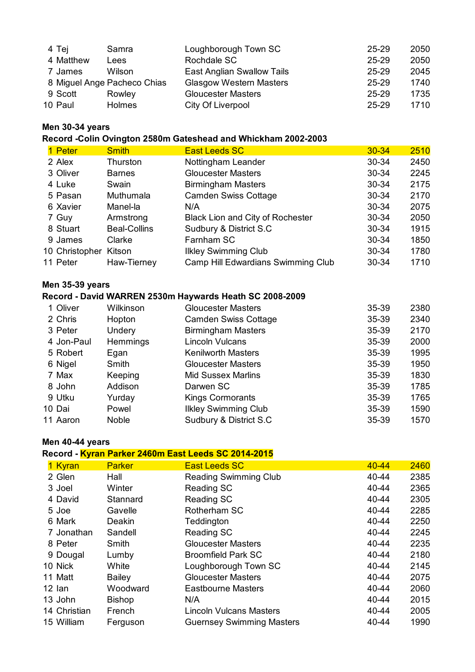| 2050 |
|------|
| 2045 |
| 1740 |
| 1735 |
| 1710 |
|      |

### **Men 30-34 years**

**Record -Colin Ovington 2580m Gateshead and Whickham 2002-2003**

| 1 Peter        | <b>Smith</b>        | <b>East Leeds SC</b>               | $30 - 34$ | 2510 |
|----------------|---------------------|------------------------------------|-----------|------|
| 2 Alex         | Thurston            | Nottingham Leander                 | 30-34     | 2450 |
| 3 Oliver       | <b>Barnes</b>       | <b>Gloucester Masters</b>          | 30-34     | 2245 |
| 4 Luke         | Swain               | <b>Birmingham Masters</b>          | 30-34     | 2175 |
| 5 Pasan        | Muthumala           | <b>Camden Swiss Cottage</b>        | 30-34     | 2170 |
| 6 Xavier       | Manel-la            | N/A                                | 30-34     | 2075 |
| 7 Guy          | Armstrong           | Black Lion and City of Rochester   | 30-34     | 2050 |
| 8 Stuart       | <b>Beal-Collins</b> | Sudbury & District S.C             | 30-34     | 1915 |
| 9 James        | Clarke              | Farnham SC                         | 30-34     | 1850 |
| 10 Christopher | Kitson              | <b>Ilkley Swimming Club</b>        | 30-34     | 1780 |
| 11 Peter       | Haw-Tierney         | Camp Hill Edwardians Swimming Club | 30-34     | 1710 |
|                |                     |                                    |           |      |

### **Men 35-39 years**

### **Record - David WARREN 2530m Haywards Heath SC 2008-2009**

| 1 Oliver   | Wilkinson     | <b>Gloucester Masters</b>   | 35-39 | 2380 |
|------------|---------------|-----------------------------|-------|------|
| 2 Chris    | Hopton        | <b>Camden Swiss Cottage</b> | 35-39 | 2340 |
| 3 Peter    | <b>Undery</b> | <b>Birmingham Masters</b>   | 35-39 | 2170 |
| 4 Jon-Paul | Hemmings      | <b>Lincoln Vulcans</b>      | 35-39 | 2000 |
| 5 Robert   | Egan          | <b>Kenilworth Masters</b>   | 35-39 | 1995 |
| 6 Nigel    | Smith         | <b>Gloucester Masters</b>   | 35-39 | 1950 |
| 7 Max      | Keeping       | <b>Mid Sussex Marlins</b>   | 35-39 | 1830 |
| 8 John     | Addison       | Darwen SC                   | 35-39 | 1785 |
| 9 Utku     | Yurday        | <b>Kings Cormorants</b>     | 35-39 | 1765 |
| 10 Dai     | Powel         | <b>Ilkley Swimming Club</b> | 35-39 | 1590 |
| 11 Aaron   | <b>Noble</b>  | Sudbury & District S.C      | 35-39 | 1570 |

#### **Men 40-44 years**

#### **Record - Kyran Parker 2460m East Leeds SC 2014-2015**

| 1 Kyran    |              | <b>Parker</b> | <b>East Leeds SC</b>             | $40 - 44$ | 2460 |
|------------|--------------|---------------|----------------------------------|-----------|------|
| 2 Glen     |              | Hall          | <b>Reading Swimming Club</b>     | 40-44     | 2385 |
| 3 Joel     |              | Winter        | Reading SC                       | 40-44     | 2365 |
| 4 David    |              | Stannard      | Reading SC                       | 40-44     | 2305 |
| 5 Joe      |              | Gavelle       | Rotherham SC                     | 40-44     | 2285 |
| 6 Mark     |              | Deakin        | Teddington                       | 40-44     | 2250 |
|            | 7 Jonathan   | Sandell       | Reading SC                       | 40-44     | 2245 |
| 8 Peter    |              | Smith         | <b>Gloucester Masters</b>        | 40-44     | 2235 |
|            | 9 Dougal     | Lumby         | <b>Broomfield Park SC</b>        | 40-44     | 2180 |
| 10 Nick    |              | White         | Loughborough Town SC             | 40-44     | 2145 |
| 11 Matt    |              | <b>Bailey</b> | <b>Gloucester Masters</b>        | 40-44     | 2075 |
| 12 lan     |              | Woodward      | <b>Eastbourne Masters</b>        | 40-44     | 2060 |
| 13 John    |              | <b>Bishop</b> | N/A                              | 40-44     | 2015 |
|            | 14 Christian | French        | <b>Lincoln Vulcans Masters</b>   | 40-44     | 2005 |
| 15 William |              | Ferguson      | <b>Guernsey Swimming Masters</b> | 40-44     | 1990 |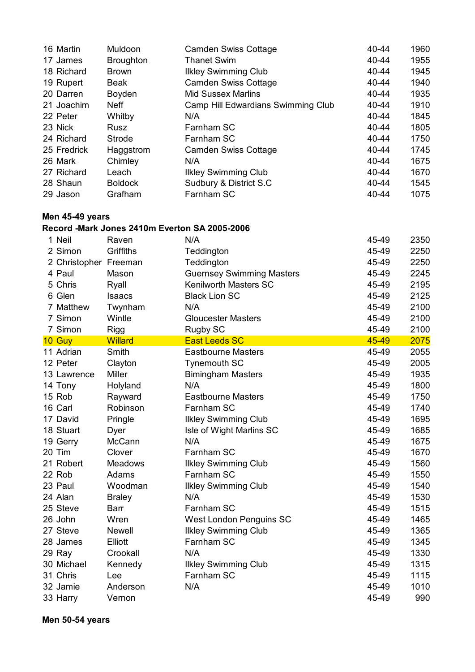| 16 Martin   | Muldoon          | <b>Camden Swiss Cottage</b>        | 40-44 | 1960 |
|-------------|------------------|------------------------------------|-------|------|
| 17 James    | <b>Broughton</b> | <b>Thanet Swim</b>                 | 40-44 | 1955 |
| 18 Richard  | <b>Brown</b>     | <b>Ilkley Swimming Club</b>        | 40-44 | 1945 |
| 19 Rupert   | <b>Beak</b>      | <b>Camden Swiss Cottage</b>        | 40-44 | 1940 |
| 20 Darren   | Boyden           | <b>Mid Sussex Marlins</b>          | 40-44 | 1935 |
| 21 Joachim  | <b>Neff</b>      | Camp Hill Edwardians Swimming Club | 40-44 | 1910 |
| 22 Peter    | Whitby           | N/A                                | 40-44 | 1845 |
| 23 Nick     | Rusz             | Farnham SC                         | 40-44 | 1805 |
| 24 Richard  | Strode           | Farnham SC                         | 40-44 | 1750 |
| 25 Fredrick | Haggstrom        | <b>Camden Swiss Cottage</b>        | 40-44 | 1745 |
| 26 Mark     | Chimley          | N/A                                | 40-44 | 1675 |
| 27 Richard  | Leach            | <b>Ilkley Swimming Club</b>        | 40-44 | 1670 |
| 28 Shaun    | <b>Boldock</b>   | Sudbury & District S.C             | 40-44 | 1545 |
| 29 Jason    | Grafham          | Farnham SC                         | 40-44 | 1075 |

# **Men 45-49 years**

### **Record -Mark Jones 2410m Everton SA 2005-2006**

| 1 Neil                | Raven          | N/A                              | 45-49 | 2350 |
|-----------------------|----------------|----------------------------------|-------|------|
| 2 Simon               | Griffiths      | Teddington                       | 45-49 | 2250 |
| 2 Christopher Freeman |                | Teddington                       | 45-49 | 2250 |
| 4 Paul                | Mason          | <b>Guernsey Swimming Masters</b> | 45-49 | 2245 |
| 5 Chris               | Ryall          | <b>Kenilworth Masters SC</b>     | 45-49 | 2195 |
| 6 Glen                | <b>Isaacs</b>  | <b>Black Lion SC</b>             | 45-49 | 2125 |
| 7 Matthew             | Twynham        | N/A                              | 45-49 | 2100 |
| 7 Simon               | Wintle         | <b>Gloucester Masters</b>        | 45-49 | 2100 |
| 7 Simon               | Rigg           | Rugby SC                         | 45-49 | 2100 |
| 10 Guy                | <b>Willard</b> | <b>East Leeds SC</b>             | 45-49 | 2075 |
| 11 Adrian             | Smith          | <b>Eastbourne Masters</b>        | 45-49 | 2055 |
| 12 Peter              | Clayton        | <b>Tynemouth SC</b>              | 45-49 | 2005 |
| 13 Lawrence           | <b>Miller</b>  | <b>Bimingham Masters</b>         | 45-49 | 1935 |
| 14 Tony               | Holyland       | N/A                              | 45-49 | 1800 |
| 15 Rob                | Rayward        | <b>Eastbourne Masters</b>        | 45-49 | 1750 |
| 16 Carl               | Robinson       | Farnham SC                       | 45-49 | 1740 |
| 17 David              | Pringle        | <b>Ilkley Swimming Club</b>      | 45-49 | 1695 |
| 18 Stuart             | Dyer           | Isle of Wight Marlins SC         | 45-49 | 1685 |
| 19 Gerry              | McCann         | N/A                              | 45-49 | 1675 |
| 20 Tim                | Clover         | Farnham SC                       | 45-49 | 1670 |
| 21 Robert             | <b>Meadows</b> | <b>Ilkley Swimming Club</b>      | 45-49 | 1560 |
| 22 Rob                | Adams          | Farnham SC                       | 45-49 | 1550 |
| 23 Paul               | Woodman        | <b>Ilkley Swimming Club</b>      | 45-49 | 1540 |
| 24 Alan               | <b>Braley</b>  | N/A                              | 45-49 | 1530 |
| 25 Steve              | <b>Barr</b>    | Farnham SC                       | 45-49 | 1515 |
| 26 John               | Wren           | West London Penguins SC          | 45-49 | 1465 |
| 27 Steve              | Newell         | <b>Ilkley Swimming Club</b>      | 45-49 | 1365 |
| 28 James              | Elliott        | Farnham SC                       | 45-49 | 1345 |
| 29 Ray                | Crookall       | N/A                              | 45-49 | 1330 |
| 30 Michael            | Kennedy        | <b>Ilkley Swimming Club</b>      | 45-49 | 1315 |
| 31 Chris              | Lee            | Farnham SC                       | 45-49 | 1115 |
| 32 Jamie              | Anderson       | N/A                              | 45-49 | 1010 |
| 33 Harry              | Vernon         |                                  | 45-49 | 990  |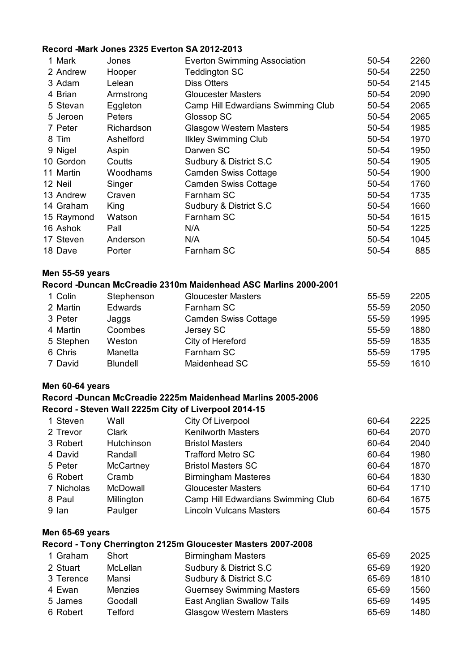### **Record -Mark Jones 2325 Everton SA 2012-2013**

| 1 Mark     | Jones       | <b>Everton Swimming Association</b> | 50-54 | 2260 |
|------------|-------------|-------------------------------------|-------|------|
| 2 Andrew   | Hooper      | <b>Teddington SC</b>                | 50-54 | 2250 |
| 3 Adam     | Lelean      | <b>Diss Otters</b>                  | 50-54 | 2145 |
| 4 Brian    | Armstrong   | <b>Gloucester Masters</b>           | 50-54 | 2090 |
| 5 Stevan   | Eggleton    | Camp Hill Edwardians Swimming Club  | 50-54 | 2065 |
| 5 Jeroen   | Peters      | Glossop SC                          | 50-54 | 2065 |
| 7 Peter    | Richardson  | <b>Glasgow Western Masters</b>      | 50-54 | 1985 |
| 8 Tim      | Ashelford   | <b>Ilkley Swimming Club</b>         | 50-54 | 1970 |
| 9 Nigel    | Aspin       | Darwen SC                           | 50-54 | 1950 |
| 10 Gordon  | Coutts      | Sudbury & District S.C.             | 50-54 | 1905 |
| 11 Martin  | Woodhams    | <b>Camden Swiss Cottage</b>         | 50-54 | 1900 |
| 12 Neil    | Singer      | <b>Camden Swiss Cottage</b>         | 50-54 | 1760 |
| 13 Andrew  | Craven      | Farnham SC                          | 50-54 | 1735 |
| 14 Graham  | <b>King</b> | Sudbury & District S.C.             | 50-54 | 1660 |
| 15 Raymond | Watson      | Farnham SC                          | 50-54 | 1615 |
| 16 Ashok   | Pall        | N/A                                 | 50-54 | 1225 |
| 17 Steven  | Anderson    | N/A                                 | 50-54 | 1045 |
| 18 Dave    | Porter      | Farnham SC                          | 50-54 | 885  |
|            |             |                                     |       |      |

#### **Men 55-59 years**

#### **Record -Duncan McCreadie 2310m Maidenhead ASC Marlins 2000-2001**

| 1 Colin   | Stephenson      | <b>Gloucester Masters</b>   | 55-59 | 2205 |
|-----------|-----------------|-----------------------------|-------|------|
| 2 Martin  | <b>Edwards</b>  | Farnham SC                  | 55-59 | 2050 |
| 3 Peter   | Jaggs           | <b>Camden Swiss Cottage</b> | 55-59 | 1995 |
| 4 Martin  | Coombes         | Jersey SC                   | 55-59 | 1880 |
| 5 Stephen | Weston          | City of Hereford            | 55-59 | 1835 |
| 6 Chris   | Manetta         | Farnham SC                  | 55-59 | 1795 |
| 7 David   | <b>Blundell</b> | Maidenhead SC               | 55-59 | 1610 |

#### **Men 60-64 years**

### **Record -Duncan McCreadie 2225m Maidenhead Marlins 2005-2006**

### **Record - Steven Wall 2225m City of Liverpool 2014-15**

| 1 Steven   | Wall         | City Of Liverpool                  | 60-64 | 2225 |
|------------|--------------|------------------------------------|-------|------|
| 2 Trevor   | <b>Clark</b> | <b>Kenilworth Masters</b>          | 60-64 | 2070 |
| 3 Robert   | Hutchinson   | <b>Bristol Masters</b>             | 60-64 | 2040 |
| 4 David    | Randall      | <b>Trafford Metro SC</b>           | 60-64 | 1980 |
| 5 Peter    | McCartney    | <b>Bristol Masters SC</b>          | 60-64 | 1870 |
| 6 Robert   | Cramb        | <b>Birmingham Masteres</b>         | 60-64 | 1830 |
| 7 Nicholas | McDowall     | <b>Gloucester Masters</b>          | 60-64 | 1710 |
| 8 Paul     | Millington   | Camp Hill Edwardians Swimming Club | 60-64 | 1675 |
| 9 lan      | Paulger      | <b>Lincoln Vulcans Masters</b>     | 60-64 | 1575 |

#### **Men 65-69 years**

#### **Record - Tony Cherrington 2125m Gloucester Masters 2007-2008**

| 1 Graham  | Short          | <b>Birmingham Masters</b>        | 65-69 | 2025 |
|-----------|----------------|----------------------------------|-------|------|
| 2 Stuart  | McLellan       | Sudbury & District S.C.          | 65-69 | 1920 |
| 3 Terence | Mansi          | Sudbury & District S.C.          | 65-69 | 1810 |
| 4 Ewan    | <b>Menzies</b> | <b>Guernsey Swimming Masters</b> | 65-69 | 1560 |
| 5 James   | Goodall        | East Anglian Swallow Tails       | 65-69 | 1495 |
| 6 Robert  | Telford        | <b>Glasgow Western Masters</b>   | 65-69 | 1480 |